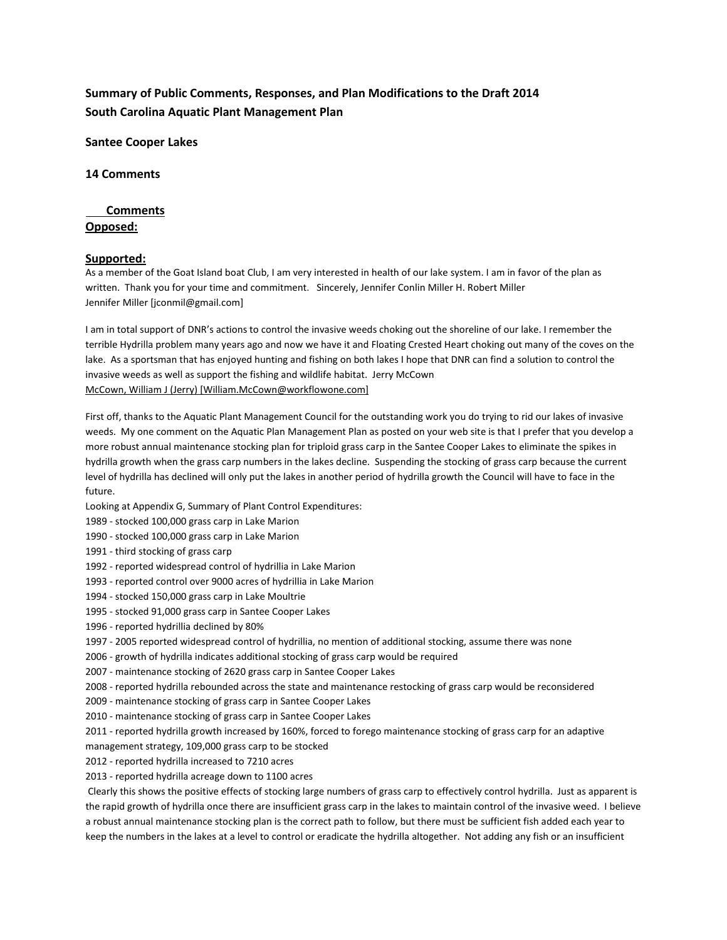# **Summary of Public Comments, Responses, and Plan Modifications to the Draft 2014 South Carolina Aquatic Plant Management Plan**

**Santee Cooper Lakes**

**14 Comments**

### **Comments**

### **Opposed:**

### **Supported:**

As a member of the Goat Island boat Club, I am very interested in health of our lake system. I am in favor of the plan as written. Thank you for your time and commitment. Sincerely, Jennifer Conlin Miller H. Robert Miller Jennifer Miller [jconmil@gmail.com]

I am in total support of DNR's actions to control the invasive weeds choking out the shoreline of our lake. I remember the terrible Hydrilla problem many years ago and now we have it and Floating Crested Heart choking out many of the coves on the lake. As a sportsman that has enjoyed hunting and fishing on both lakes I hope that DNR can find a solution to control the invasive weeds as well as support the fishing and wildlife habitat. Jerry McCown McCown, William J (Jerry) [William.McCown@workflowone.com]

First off, thanks to the Aquatic Plant Management Council for the outstanding work you do trying to rid our lakes of invasive weeds. My one comment on the Aquatic Plan Management Plan as posted on your web site is that I prefer that you develop a more robust annual maintenance stocking plan for triploid grass carp in the Santee Cooper Lakes to eliminate the spikes in hydrilla growth when the grass carp numbers in the lakes decline. Suspending the stocking of grass carp because the current level of hydrilla has declined will only put the lakes in another period of hydrilla growth the Council will have to face in the future.

- Looking at Appendix G, Summary of Plant Control Expenditures:
- 1989 stocked 100,000 grass carp in Lake Marion
- 1990 stocked 100,000 grass carp in Lake Marion
- 1991 third stocking of grass carp
- 1992 reported widespread control of hydrillia in Lake Marion
- 1993 reported control over 9000 acres of hydrillia in Lake Marion
- 1994 stocked 150,000 grass carp in Lake Moultrie
- 1995 stocked 91,000 grass carp in Santee Cooper Lakes
- 1996 reported hydrillia declined by 80%
- 1997 2005 reported widespread control of hydrillia, no mention of additional stocking, assume there was none
- 2006 growth of hydrilla indicates additional stocking of grass carp would be required
- 2007 maintenance stocking of 2620 grass carp in Santee Cooper Lakes
- 2008 reported hydrilla rebounded across the state and maintenance restocking of grass carp would be reconsidered
- 2009 maintenance stocking of grass carp in Santee Cooper Lakes
- 2010 maintenance stocking of grass carp in Santee Cooper Lakes
- 2011 reported hydrilla growth increased by 160%, forced to forego maintenance stocking of grass carp for an adaptive
- management strategy, 109,000 grass carp to be stocked
- 2012 reported hydrilla increased to 7210 acres
- 2013 reported hydrilla acreage down to 1100 acres

Clearly this shows the positive effects of stocking large numbers of grass carp to effectively control hydrilla. Just as apparent is the rapid growth of hydrilla once there are insufficient grass carp in the lakes to maintain control of the invasive weed. I believe a robust annual maintenance stocking plan is the correct path to follow, but there must be sufficient fish added each year to keep the numbers in the lakes at a level to control or eradicate the hydrilla altogether. Not adding any fish or an insufficient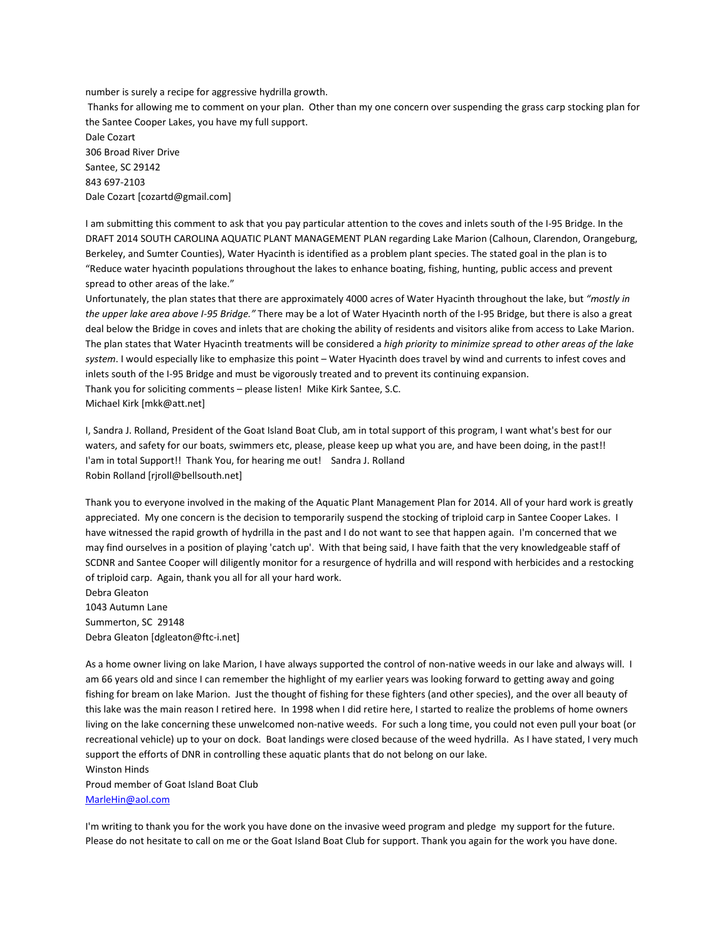number is surely a recipe for aggressive hydrilla growth.

Thanks for allowing me to comment on your plan. Other than my one concern over suspending the grass carp stocking plan for the Santee Cooper Lakes, you have my full support.

Dale Cozart 306 Broad River Drive Santee, SC 29142 843 697-2103 Dale Cozart [cozartd@gmail.com]

I am submitting this comment to ask that you pay particular attention to the coves and inlets south of the I-95 Bridge. In the DRAFT 2014 SOUTH CAROLINA AQUATIC PLANT MANAGEMENT PLAN regarding Lake Marion (Calhoun, Clarendon, Orangeburg, Berkeley, and Sumter Counties), Water Hyacinth is identified as a problem plant species. The stated goal in the plan is to "Reduce water hyacinth populations throughout the lakes to enhance boating, fishing, hunting, public access and prevent spread to other areas of the lake."

Unfortunately, the plan states that there are approximately 4000 acres of Water Hyacinth throughout the lake, but *"mostly in the upper lake area above I-95 Bridge."* There may be a lot of Water Hyacinth north of the I-95 Bridge, but there is also a great deal below the Bridge in coves and inlets that are choking the ability of residents and visitors alike from access to Lake Marion. The plan states that Water Hyacinth treatments will be considered a *high priority to minimize spread to other areas of the lake system*. I would especially like to emphasize this point – Water Hyacinth does travel by wind and currents to infest coves and inlets south of the I-95 Bridge and must be vigorously treated and to prevent its continuing expansion. Thank you for soliciting comments – please listen! Mike Kirk Santee, S.C. Michael Kirk [mkk@att.net]

I, Sandra J. Rolland, President of the Goat Island Boat Club, am in total support of this program, I want what's best for our waters, and safety for our boats, swimmers etc, please, please keep up what you are, and have been doing, in the past!! I'am in total Support!! Thank You, for hearing me out! Sandra J. Rolland Robin Rolland [rjroll@bellsouth.net]

Thank you to everyone involved in the making of the Aquatic Plant Management Plan for 2014. All of your hard work is greatly appreciated. My one concern is the decision to temporarily suspend the stocking of triploid carp in Santee Cooper Lakes. I have witnessed the rapid growth of hydrilla in the past and I do not want to see that happen again. I'm concerned that we may find ourselves in a position of playing 'catch up'. With that being said, I have faith that the very knowledgeable staff of SCDNR and Santee Cooper will diligently monitor for a resurgence of hydrilla and will respond with herbicides and a restocking of triploid carp. Again, thank you all for all your hard work.

Debra Gleaton 1043 Autumn Lane Summerton, SC 29148 Debra Gleaton [dgleaton@ftc-i.net]

As a home owner living on lake Marion, I have always supported the control of non-native weeds in our lake and always will. I am 66 years old and since I can remember the highlight of my earlier years was looking forward to getting away and going fishing for bream on lake Marion. Just the thought of fishing for these fighters (and other species), and the over all beauty of this lake was the main reason I retired here. In 1998 when I did retire here, I started to realize the problems of home owners living on the lake concerning these unwelcomed non-native weeds. For such a long time, you could not even pull your boat (or recreational vehicle) up to your on dock. Boat landings were closed because of the weed hydrilla. As I have stated, I very much support the efforts of DNR in controlling these aquatic plants that do not belong on our lake.

#### Winston Hinds

Proud member of Goat Island Boat Club [MarleHin@aol.com](mailto:MarleHin@aol.com)

I'm writing to thank you for the work you have done on the invasive weed program and pledge my support for the future. Please do not hesitate to call on me or the Goat Island Boat Club for support. Thank you again for the work you have done.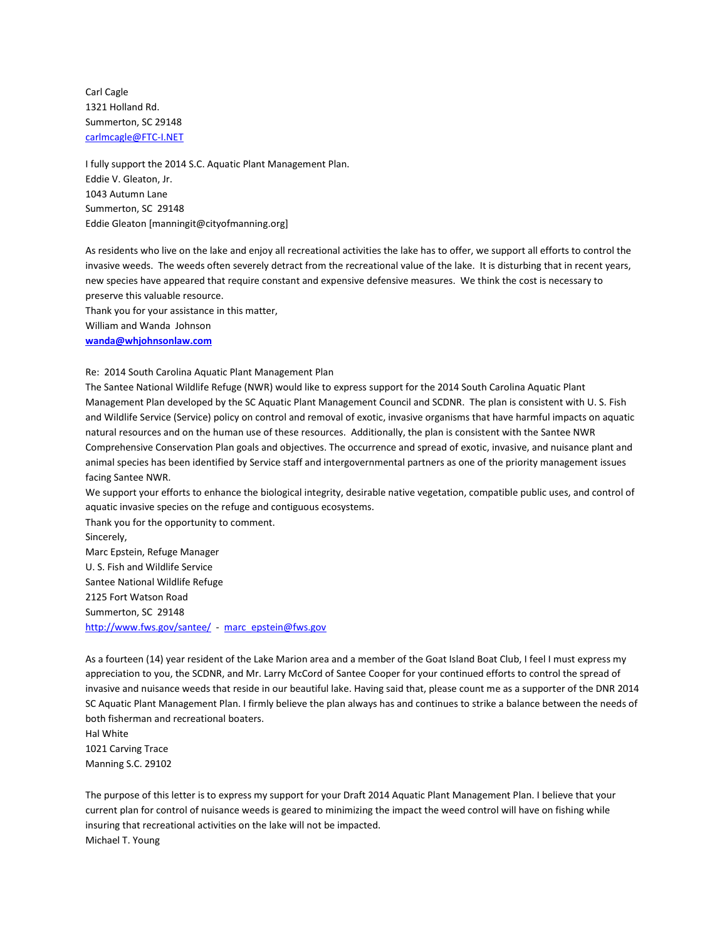Carl Cagle 1321 Holland Rd. Summerton, SC 29148 [carlmcagle@FTC-I.NET](mailto:carlmcagle@FTC-I.NET)

I fully support the 2014 S.C. Aquatic Plant Management Plan. Eddie V. Gleaton, Jr. 1043 Autumn Lane Summerton, SC 29148 Eddie Gleaton [manningit@cityofmanning.org]

As residents who live on the lake and enjoy all recreational activities the lake has to offer, we support all efforts to control the invasive weeds. The weeds often severely detract from the recreational value of the lake. It is disturbing that in recent years, new species have appeared that require constant and expensive defensive measures. We think the cost is necessary to preserve this valuable resource.

Thank you for your assistance in this matter, William and Wanda Johnson **[wanda@whjohnsonlaw.com](mailto:wanda@whjohnsonlaw.com)**

Re: 2014 South Carolina Aquatic Plant Management Plan

The Santee National Wildlife Refuge (NWR) would like to express support for the 2014 South Carolina Aquatic Plant Management Plan developed by the SC Aquatic Plant Management Council and SCDNR. The plan is consistent with U. S. Fish and Wildlife Service (Service) policy on control and removal of exotic, invasive organisms that have harmful impacts on aquatic natural resources and on the human use of these resources. Additionally, the plan is consistent with the Santee NWR Comprehensive Conservation Plan goals and objectives. The occurrence and spread of exotic, invasive, and nuisance plant and animal species has been identified by Service staff and intergovernmental partners as one of the priority management issues facing Santee NWR.

We support your efforts to enhance the biological integrity, desirable native vegetation, compatible public uses, and control of aquatic invasive species on the refuge and contiguous ecosystems.

Thank you for the opportunity to comment. Sincerely, Marc Epstein, Refuge Manager U. S. Fish and Wildlife Service Santee National Wildlife Refuge 2125 Fort Watson Road Summerton, SC 29148 <http://www.fws.gov/santee/>- [marc\\_epstein@fws.gov](mailto:marc_epstein@fws.gov)

As a fourteen (14) year resident of the Lake Marion area and a member of the Goat Island Boat Club, I feel I must express my appreciation to you, the SCDNR, and Mr. Larry McCord of Santee Cooper for your continued efforts to control the spread of invasive and nuisance weeds that reside in our beautiful lake. Having said that, please count me as a supporter of the DNR 2014 SC Aquatic Plant Management Plan. I firmly believe the plan always has and continues to strike a balance between the needs of both fisherman and recreational boaters.

Hal White 1021 Carving Trace Manning S.C. 29102

The purpose of this letter is to express my support for your Draft 2014 Aquatic Plant Management Plan. I believe that your current plan for control of nuisance weeds is geared to minimizing the impact the weed control will have on fishing while insuring that recreational activities on the lake will not be impacted. Michael T. Young